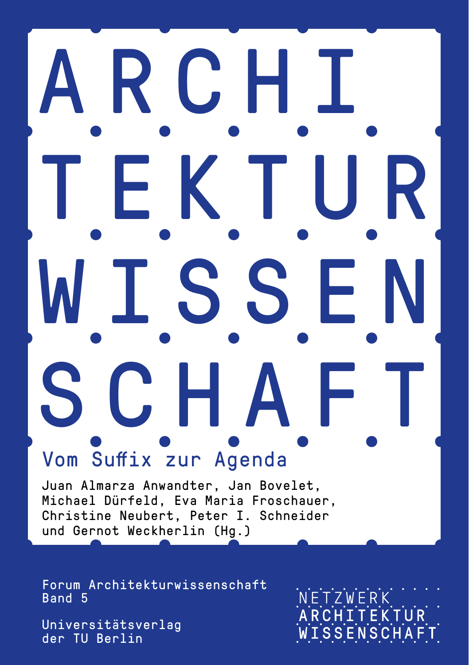## A T W S R.C.H T SS.E A E I C I U F K H R N T Vom Suffix zur Agenda

Juan Almarza Anwandter, Jan Bovelet, Michael Dürfeld, Eva Maria Froschauer, Christine Neubert, Peter I. Schneider und Gernot Weckherlin (Hg.)

Forum Architekturwissenschaft Band 5

Universitätsverlag der TU Berlin

NETZWERK ARCHITEKTUR WISSENSCHAFT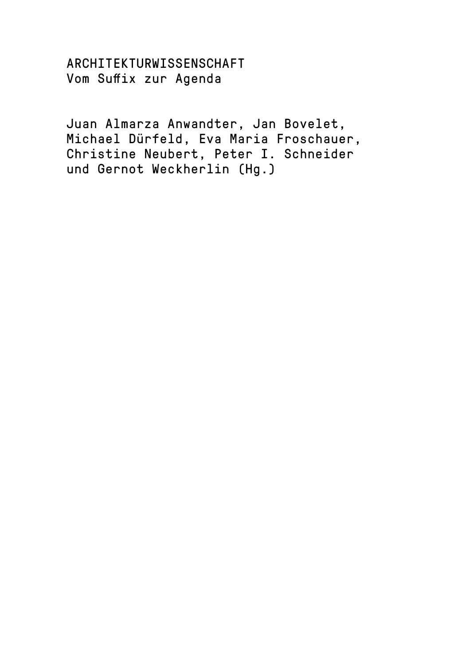#### ARCHITEKTURWISSENSCHAFT Vom Suffix zur Agenda

Juan Almarza Anwandter, Jan Bovelet, Michael Dürfeld, Eva Maria Froschauer, Christine Neubert, Peter I. Schneider und Gernot Weckherlin (Hg.)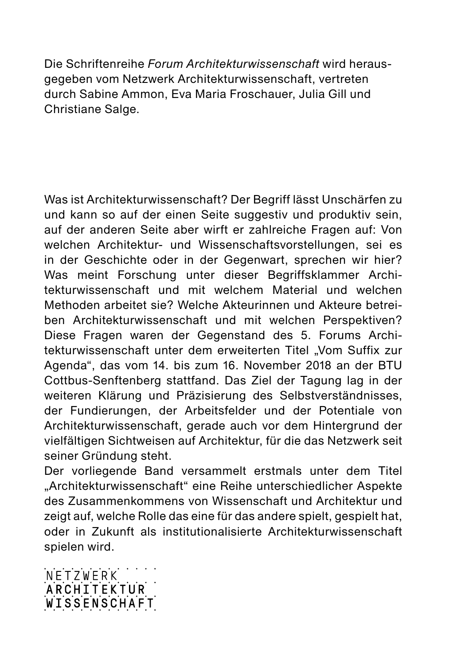Die Schriftenreihe *Forum Architekturwissenschaft* wird herausgegeben vom Netzwerk Architekturwissenschaft, vertreten durch Sabine Ammon, Eva Maria Froschauer, Julia Gill und Christiane Salge.

Was ist Architekturwissenschaft? Der Begriff lässt Unschärfen zu und kann so auf der einen Seite suggestiv und produktiv sein, auf der anderen Seite aber wirft er zahlreiche Fragen auf: Von welchen Architektur- und Wissenschaftsvorstellungen, sei es in der Geschichte oder in der Gegenwart, sprechen wir hier? Was meint Forschung unter dieser Begriffsklammer Architekturwissenschaft und mit welchem Material und welchen Methoden arbeitet sie? Welche Akteurinnen und Akteure betreiben Architekturwissenschaft und mit welchen Perspektiven? Diese Fragen waren der Gegenstand des 5. Forums Architekturwissenschaft unter dem erweiterten Titel "Vom Suffix zur Agenda", das vom 14. bis zum 16. November 2018 an der BTU Cottbus-Senftenberg stattfand. Das Ziel der Tagung lag in der weiteren Klärung und Präzisierung des Selbstverständnisses, der Fundierungen, der Arbeitsfelder und der Potentiale von Architekturwissenschaft, gerade auch vor dem Hintergrund der vielfältigen Sichtweisen auf Architektur, für die das Netzwerk seit seiner Gründung steht.

Der vorliegende Band versammelt erstmals unter dem Titel "Architekturwissenschaft" eine Reihe unterschiedlicher Aspekte des Zusammenkommens von Wissenschaft und Architektur und zeigt auf, welche Rolle das eine für das andere spielt, gespielt hat, oder in Zukunft als institutionalisierte Architekturwissenschaft spielen wird.

*NETZWERK* ARCHITEKTUR WISSENSCHAFT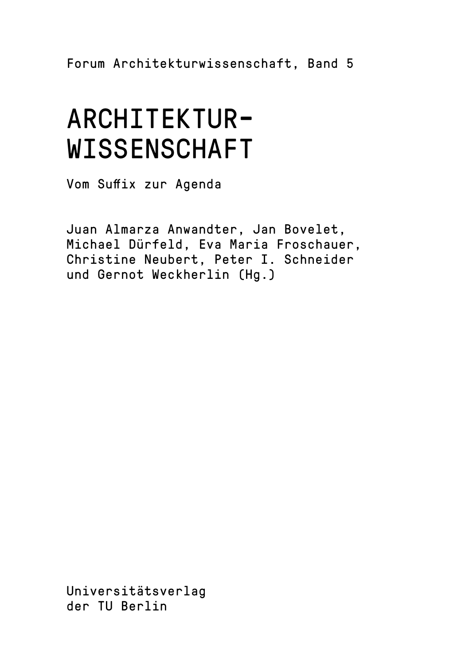Forum Architekturwissenschaft, Band 5

# ARCHITEKTUR-WISSENSCHAFT

Vom Suffix zur Agenda

Juan Almarza Anwandter, Jan Bovelet, Michael Dürfeld, Eva Maria Froschauer, Christine Neubert, Peter I. Schneider und Gernot Weckherlin (Hg.)

Universitätsverlag der TU Berlin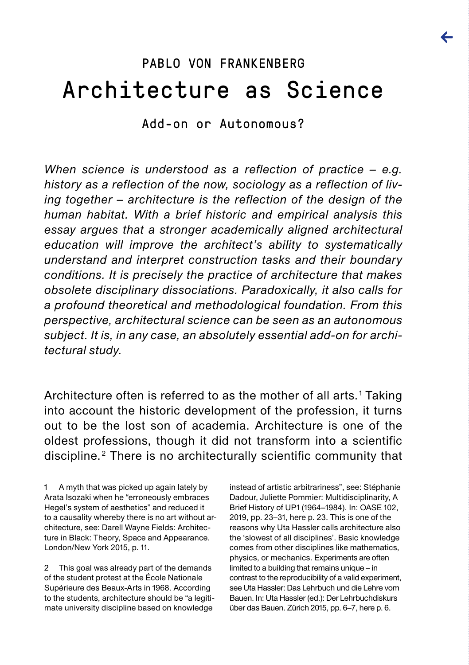## PABLO VON FRANKENBERG Architecture as Science

#### Add-on or Autonomous?

*When science is understood as a reflection of practice – e.g. history as a reflection of the now, sociology as a reflection of living together – architecture is the reflection of the design of the human habitat. With a brief historic and empirical analysis this essay argues that a stronger academically aligned architectural education will improve the architect's ability to systematically understand and interpret construction tasks and their boundary conditions. It is precisely the practice of architecture that makes obsolete disciplinary dissociations. Paradoxically, it also calls for a profound theoretical and methodological foundation. From this perspective, architectural science can be seen as an autonomous subject. It is, in any case, an absolutely essential add-on for architectural study.*

Architecture often is referred to as the mother of all arts.<sup>1</sup> Taking into account the historic development of the profession, it turns out to be the lost son of academia. Architecture is one of the oldest professions, though it did not transform into a scientific discipline. 2 There is no architecturally scientific community that

A myth that was picked up again lately by Arata Isozaki when he "erroneously embraces Hegel's system of aesthetics" and reduced it to a causality whereby there is no art without architecture, see: Darell Wayne Fields: Architecture in Black: Theory, Space and Appearance. London/New York 2015, p. 11.

2 This goal was already part of the demands of the student protest at the École Nationale Supérieure des Beaux-Arts in 1968. According to the students, architecture should be "a legitimate university discipline based on knowledge

instead of artistic arbitrariness", see: Stéphanie Dadour, Juliette Pommier: Multidisciplinarity, A Brief History of UP1 (1964–1984). In: OASE 102, 2019, pp. 23–31, here p. 23. This is one of the reasons why Uta Hassler calls architecture also the 'slowest of all disciplines'. Basic knowledge comes from other disciplines like mathematics, physics, or mechanics. Experiments are often limited to a building that remains unique – in contrast to the reproducibility of a valid experiment, see Uta Hassler: Das Lehrbuch und die Lehre vom Bauen. In: Uta Hassler (ed.): Der Lehrbuchdiskurs über das Bauen. Zürich 2015, pp. 6–7, here p. 6.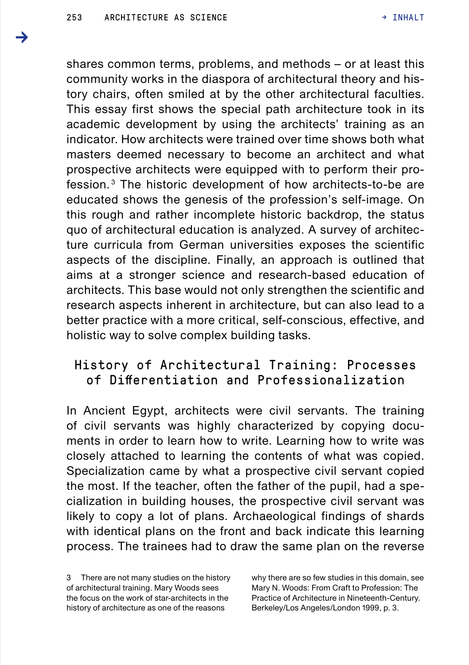shares common terms, problems, and methods – or at least this community works in the diaspora of architectural theory and history chairs, often smiled at by the other architectural faculties. This essay first shows the special path architecture took in its academic development by using the architects' training as an indicator. How architects were trained over time shows both what masters deemed necessary to become an architect and what prospective architects were equipped with to perform their profession. 3 The historic development of how architects-to-be are educated shows the genesis of the profession's self-image. On this rough and rather incomplete historic backdrop, the status quo of architectural education is analyzed. A survey of architecture curricula from German universities exposes the scientific aspects of the discipline. Finally, an approach is outlined that aims at a stronger science and research-based education of architects. This base would not only strengthen the scientific and research aspects inherent in architecture, but can also lead to a better practice with a more critical, self-conscious, effective, and holistic way to solve complex building tasks.

#### History of Architectural Training: Processes of Differentiation and Professionalization

In Ancient Egypt, architects were civil servants. The training of civil servants was highly characterized by copying documents in order to learn how to write. Learning how to write was closely attached to learning the contents of what was copied. Specialization came by what a prospective civil servant copied the most. If the teacher, often the father of the pupil, had a specialization in building houses, the prospective civil servant was likely to copy a lot of plans. Archaeological findings of shards with identical plans on the front and back indicate this learning process. The trainees had to draw the same plan on the reverse

3 There are not many studies on the history of architectural training. Mary Woods sees the focus on the work of star-architects in the history of architecture as one of the reasons

why there are so few studies in this domain, see Mary N. Woods: From Craft to Profession: The Practice of Architecture in Nineteenth-Century. Berkeley/Los Angeles/London 1999, p. 3.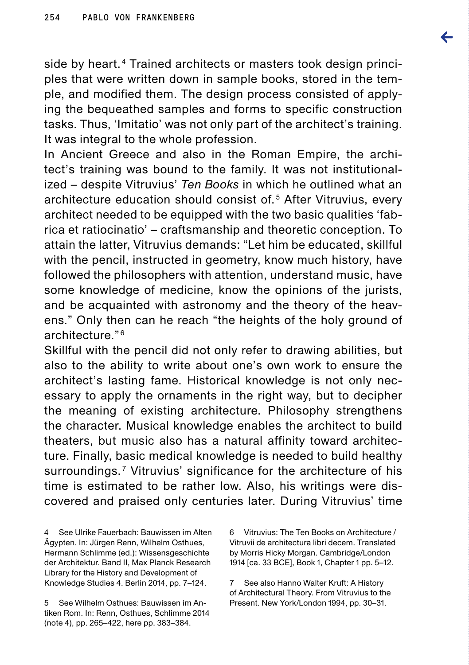side by heart.<sup>4</sup> Trained architects or masters took design principles that were written down in sample books, stored in the temple, and modified them. The design process consisted of applying the bequeathed samples and forms to specific construction tasks. Thus, 'Imitatio' was not only part of the architect's training. It was integral to the whole profession.

In Ancient Greece and also in the Roman Empire, the architect's training was bound to the family. It was not institutionalized – despite Vitruvius' *Ten Books* in which he outlined what an architecture education should consist of. 5 After Vitruvius, every architect needed to be equipped with the two basic qualities 'fabrica et ratiocinatio' – craftsmanship and theoretic conception. To attain the latter, Vitruvius demands: "Let him be educated, skillful with the pencil, instructed in geometry, know much history, have followed the philosophers with attention, understand music, have some knowledge of medicine, know the opinions of the jurists, and be acquainted with astronomy and the theory of the heavens." Only then can he reach "the heights of the holy ground of architecture."<sup>6</sup>

Skillful with the pencil did not only refer to drawing abilities, but also to the ability to write about one's own work to ensure the architect's lasting fame. Historical knowledge is not only necessary to apply the ornaments in the right way, but to decipher the meaning of existing architecture. Philosophy strengthens the character. Musical knowledge enables the architect to build theaters, but music also has a natural affinity toward architecture. Finally, basic medical knowledge is needed to build healthy surroundings.<sup>7</sup> Vitruvius' significance for the architecture of his time is estimated to be rather low. Also, his writings were discovered and praised only centuries later. During Vitruvius' time

4 See Ulrike Fauerbach: Bauwissen im Alten Ägypten. In: Jürgen Renn, Wilhelm Osthues, Hermann Schlimme (ed.): Wissensgeschichte der Architektur. Band II, Max Planck Research Library for the History and Development of Knowledge Studies 4. Berlin 2014, pp. 7–124.

5 See Wilhelm Osthues: Bauwissen im Antiken Rom. In: Renn, Osthues, Schlimme 2014 (note 4), pp. 265–422, here pp. 383–384.

6 Vitruvius: The Ten Books on Architecture / Vitruvii de architectura libri decem. Translated by Morris Hicky Morgan. Cambridge/London 1914 [ca. 33 BCE], Book 1, Chapter 1 pp. 5–12.

7 See also Hanno Walter Kruft: A History of Architectural Theory. From Vitruvius to the Present. New York/London 1994, pp. 30–31.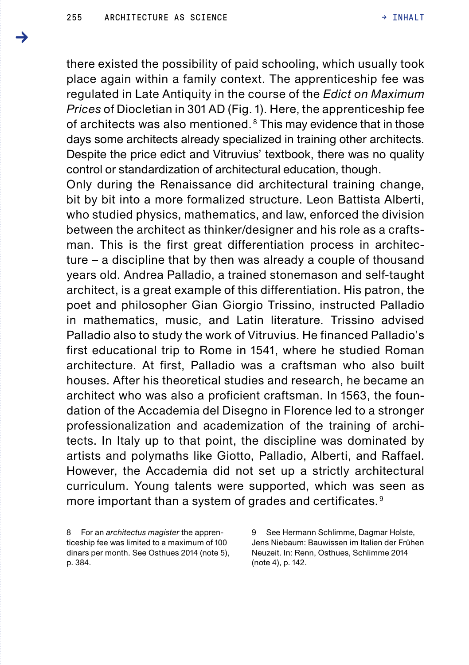there existed the possibility of paid schooling, which usually took place again within a family context. The apprenticeship fee was regulated in Late Antiquity in the course of the *Edict on Maximum Prices* of Diocletian in 301 AD (Fig. 1). Here, the apprenticeship fee of architects was also mentioned. 8 This may evidence that in those days some architects already specialized in training other architects. Despite the price edict and Vitruvius' textbook, there was no quality control or standardization of architectural education, though.

Only during the Renaissance did architectural training change, bit by bit into a more formalized structure. Leon Battista Alberti, who studied physics, mathematics, and law, enforced the division between the architect as thinker/designer and his role as a craftsman. This is the first great differentiation process in architecture – a discipline that by then was already a couple of thousand years old. Andrea Palladio, a trained stonemason and self-taught architect, is a great example of this differentiation. His patron, the poet and philosopher Gian Giorgio Trissino, instructed Palladio in mathematics, music, and Latin literature. Trissino advised Palladio also to study the work of Vitruvius. He financed Palladio's first educational trip to Rome in 1541, where he studied Roman architecture. At first, Palladio was a craftsman who also built houses. After his theoretical studies and research, he became an architect who was also a proficient craftsman. In 1563, the foundation of the Accademia del Disegno in Florence led to a stronger professionalization and academization of the training of architects. In Italy up to that point, the discipline was dominated by artists and polymaths like Giotto, Palladio, Alberti, and Raffael. However, the Accademia did not set up a strictly architectural curriculum. Young talents were supported, which was seen as more important than a system of grades and certificates.<sup>9</sup>

8 For an *architectus magister* the apprenticeship fee was limited to a maximum of 100 dinars per month. See Osthues 2014 (note 5), p. 384.

9 See Hermann Schlimme, Dagmar Holste, Jens Niebaum: Bauwissen im Italien der Frühen Neuzeit. In: Renn, Osthues, Schlimme 2014 (note 4), p. 142.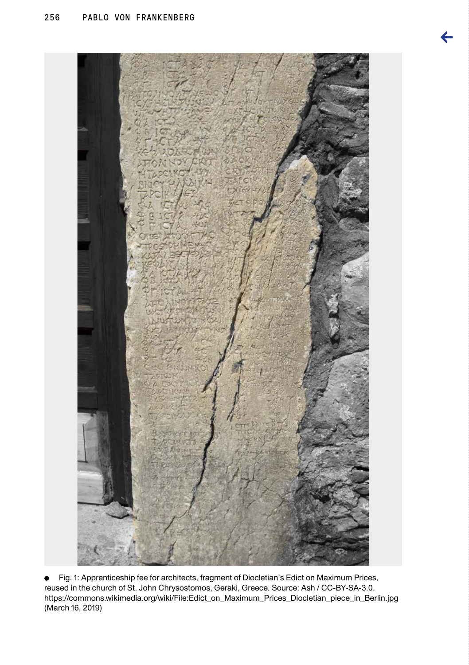

Fig. 1: Apprenticeship fee for architects, fragment of Diocletian's Edict on Maximum Prices,  $\bullet$ reused in the church of St. John Chrysostomos, Geraki, Greece. Source: Ash / CC-BY-SA-3.0. https://commons.wikimedia.org/wiki/File:Edict\_on\_Maximum\_Prices\_Diocletian\_piece\_in\_Berlin.jpg (March 16, 2019)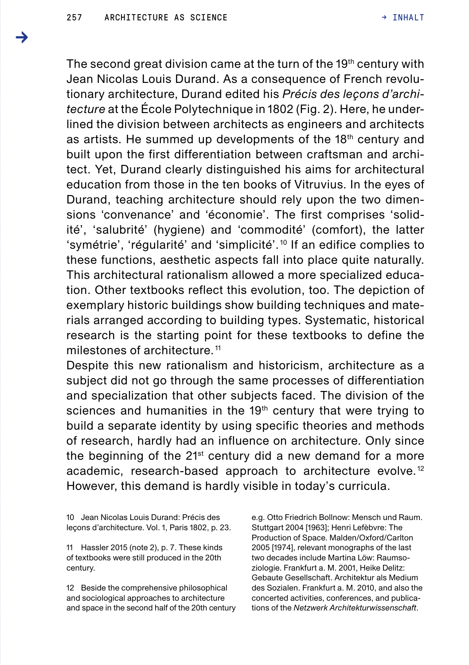The second great division came at the turn of the 19<sup>th</sup> century with Jean Nicolas Louis Durand. As a consequence of French revolutionary architecture, Durand edited his *Précis des leçons d'architecture* at the École Polytechnique in 1802 (Fig. 2). Here, he underlined the division between architects as engineers and architects as artists. He summed up developments of the 18<sup>th</sup> century and built upon the first differentiation between craftsman and architect. Yet, Durand clearly distinguished his aims for architectural education from those in the ten books of Vitruvius. In the eyes of Durand, teaching architecture should rely upon the two dimensions 'convenance' and 'économie'. The first comprises 'solidité', 'salubrité' (hygiene) and 'commodité' (comfort), the latter 'symétrie', 'régularité' and 'simplicité'. 10 If an edifice complies to these functions, aesthetic aspects fall into place quite naturally. This architectural rationalism allowed a more specialized education. Other textbooks reflect this evolution, too. The depiction of exemplary historic buildings show building techniques and materials arranged according to building types. Systematic, historical research is the starting point for these textbooks to define the milestones of architecture.<sup>11</sup>

Despite this new rationalism and historicism, architecture as a subject did not go through the same processes of differentiation and specialization that other subjects faced. The division of the sciences and humanities in the 19<sup>th</sup> century that were trying to build a separate identity by using specific theories and methods of research, hardly had an influence on architecture. Only since the beginning of the 21<sup>st</sup> century did a new demand for a more academic, research-based approach to architecture evolve. <sup>12</sup> However, this demand is hardly visible in today's curricula.

10 Jean Nicolas Louis Durand: Précis des leçons d'architecture. Vol. 1, Paris 1802, p. 23.

11 Hassler 2015 (note 2), p. 7. These kinds of textbooks were still produced in the 20th century.

12 Beside the comprehensive philosophical and sociological approaches to architecture and space in the second half of the 20th century e.g. Otto Friedrich Bollnow: Mensch und Raum. Stuttgart 2004 [1963]; Henri Lefèbvre: The Production of Space. Malden/Oxford/Carlton 2005 [1974], relevant monographs of the last two decades include Martina Löw: Raumsoziologie. Frankfurt a. M. 2001, Heike Delitz: Gebaute Gesellschaft. Architektur als Medium des Sozialen. Frankfurt a. M. 2010, and also the concerted activities, conferences, and publications of the *Netzwerk Architekturwissenschaft*.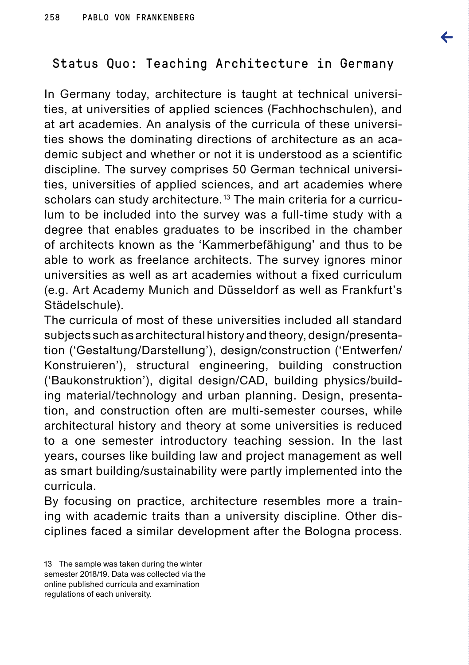#### Status Quo: Teaching Architecture in Germany

In Germany today, architecture is taught at technical universities, at universities of applied sciences (Fachhochschulen), and at art academies. An analysis of the curricula of these universities shows the dominating directions of architecture as an academic subject and whether or not it is understood as a scientific discipline. The survey comprises 50 German technical universities, universities of applied sciences, and art academies where scholars can study architecture.<sup>13</sup> The main criteria for a curriculum to be included into the survey was a full-time study with a degree that enables graduates to be inscribed in the chamber of architects known as the 'Kammerbefähigung' and thus to be able to work as freelance architects. The survey ignores minor universities as well as art academies without a fixed curriculum (e.g. Art Academy Munich and Düsseldorf as well as Frankfurt's Städelschule).

The curricula of most of these universities included all standard subjects such as architectural history and theory, design/presentation ('Gestaltung/Darstellung'), design/construction ('Entwerfen/ Konstruieren'), structural engineering, building construction ('Baukonstruktion'), digital design/CAD, building physics/building material/technology and urban planning. Design, presentation, and construction often are multi-semester courses, while architectural history and theory at some universities is reduced to a one semester introductory teaching session. In the last years, courses like building law and project management as well as smart building/sustainability were partly implemented into the curricula.

By focusing on practice, architecture resembles more a training with academic traits than a university discipline. Other disciplines faced a similar development after the Bologna process.

<sup>13</sup> The sample was taken during the winter semester 2018/19. Data was collected via the online published curricula and examination regulations of each university.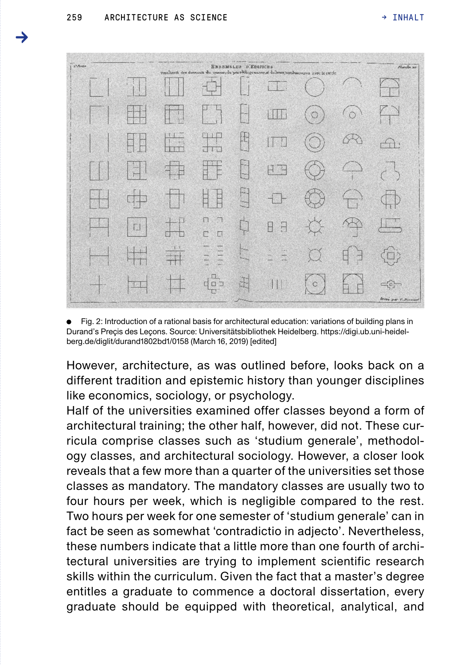

Fig. 2: Introduction of a rational basis for architectural education: variations of building plans in Durand's Preçis des Leçons. Source: Universitätsbibliothek Heidelberg. https://digi.ub.uni-heidelberg.de/diglit/durand1802bd1/0158 (March 16, 2019) [edited]

However, architecture, as was outlined before, looks back on a different tradition and epistemic history than younger disciplines like economics, sociology, or psychology.

Half of the universities examined offer classes beyond a form of architectural training; the other half, however, did not. These curricula comprise classes such as 'studium generale', methodology classes, and architectural sociology. However, a closer look reveals that a few more than a quarter of the universities set those classes as mandatory. The mandatory classes are usually two to four hours per week, which is negligible compared to the rest. Two hours per week for one semester of 'studium generale' can in fact be seen as somewhat 'contradictio in adjecto'. Nevertheless, these numbers indicate that a little more than one fourth of architectural universities are trying to implement scientific research skills within the curriculum. Given the fact that a master's degree entitles a graduate to commence a doctoral dissertation, every graduate should be equipped with theoretical, analytical, and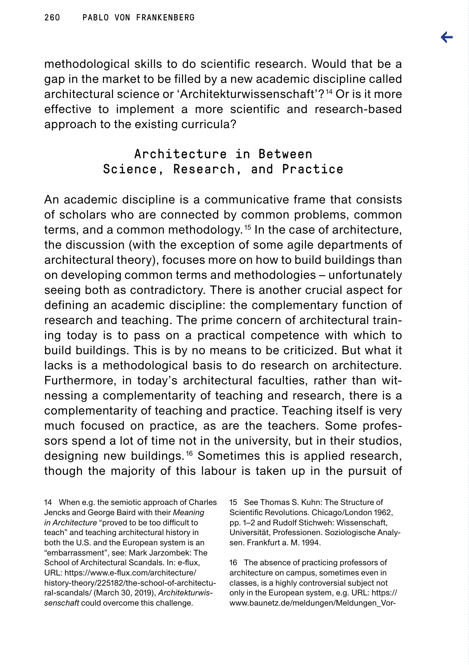methodological skills to do scientific research. Would that be a gap in the market to be filled by a new academic discipline called architectural science or 'Architekturwissenschaft'?14 Or is it more effective to implement a more scientific and research-based approach to the existing curricula?

#### Architecture in Between Science, Research, and Practice

An academic discipline is a communicative frame that consists of scholars who are connected by common problems, common terms, and a common methodology.<sup>15</sup> In the case of architecture, the discussion (with the exception of some agile departments of architectural theory), focuses more on how to build buildings than on developing common terms and methodologies – unfortunately seeing both as contradictory. There is another crucial aspect for defining an academic discipline: the complementary function of research and teaching. The prime concern of architectural training today is to pass on a practical competence with which to build buildings. This is by no means to be criticized. But what it lacks is a methodological basis to do research on architecture. Furthermore, in today's architectural faculties, rather than witnessing a complementarity of teaching and research, there is a complementarity of teaching and practice. Teaching itself is very much focused on practice, as are the teachers. Some professors spend a lot of time not in the university, but in their studios, designing new buildings. 16 Sometimes this is applied research, though the majority of this labour is taken up in the pursuit of

14 When e.g. the semiotic approach of Charles Jencks and George Baird with their *Meaning in Architecture* "proved to be too difficult to teach" and teaching architectural history in both the U.S. and the European system is an "embarrassment", see: Mark Jarzombek: The School of Architectural Scandals. In: e-flux, URL: https://www.e-flux.com/architecture/ history-theory/225182/the-school-of-architectural-scandals/ (March 30, 2019), *Architekturwissenschaft* could overcome this challenge.

15 See Thomas S. Kuhn: The Structure of Scientific Revolutions. Chicago/London 1962, pp. 1–2 and Rudolf Stichweh: Wissenschaft, Universität, Professionen. Soziologische Analysen. Frankfurt a. M. 1994.

16 The absence of practicing professors of architecture on campus, sometimes even in classes, is a highly controversial subject not only in the European system, e.g. URL: https:// www.baunetz.de/meldungen/Meldungen\_Vor-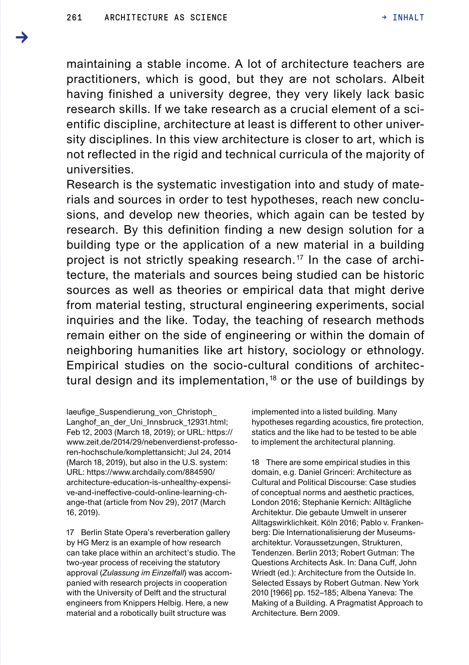maintaining a stable income. A lot of architecture teachers are practitioners, which is good, but they are not scholars. Albeit having finished a university degree, they very likely lack basic research skills. If we take research as a crucial element of a scientific discipline, architecture at least is different to other university disciplines. In this view architecture is closer to art, which is not reflected in the rigid and technical curricula of the majority of universities.

Research is the systematic investigation into and study of materials and sources in order to test hypotheses, reach new conclusions, and develop new theories, which again can be tested by research. By this definition finding a new design solution for a building type or the application of a new material in a building project is not strictly speaking research. 17 In the case of architecture, the materials and sources being studied can be historic sources as well as theories or empirical data that might derive from material testing, structural engineering experiments, social inquiries and the like. Today, the teaching of research methods remain either on the side of engineering or within the domain of neighboring humanities like art history, sociology or ethnology. Empirical studies on the socio-cultural conditions of architectural design and its implementation.<sup>18</sup> or the use of buildings by

laeufige\_Suspendierung\_von\_Christoph Langhof an der Uni Innsbruck 12931.html: Feb 12, 2003 (March 18, 2019); or URL: https:// www.zeit.de/2014/29/nebenverdienst-professoren-hochschule/komplettansicht; Jul 24, 2014 (March 18, 2019), but also in the U.S. system: URL: https://www.archdaily.com/884590/ architecture-education-is-unhealthy-expensive-and-ineffective-could-online-learning-change-that (article from Nov 29), 2017 (March 16, 2019).

17 Berlin State Opera's reverberation gallery by HG Merz is an example of how research can take place within an architect's studio. The two-year process of receiving the statutory approval (*Zulassung im Einzelfall*) was accompanied with research projects in cooperation with the University of Delft and the structural engineers from Knippers Helbig. Here, a new material and a robotically built structure was

implemented into a listed building. Many hypotheses regarding acoustics, fire protection, statics and the like had to be tested to be able to implement the architectural planning.

18 There are some empirical studies in this domain, e.g. Daniel Grinceri: Architecture as Cultural and Political Discourse: Case studies of conceptual norms and aesthetic practices, London 2016; Stephanie Kernich: Alltägliche Architektur. Die gebaute Umwelt in unserer Alltagswirklichkeit. Köln 2016; Pablo v. Frankenberg: Die Internationalisierung der Museumsarchitektur. Voraussetzungen, Strukturen, Tendenzen. Berlin 2013; Robert Gutman: The Questions Architects Ask. In: Dana Cuff, John Wriedt (ed.): Architecture from the Outside In. Selected Essays by Robert Gutman. New York 2010 [1966] pp. 152–185; Albena Yaneva: The Making of a Building. A Pragmatist Approach to Architecture. Bern 2009.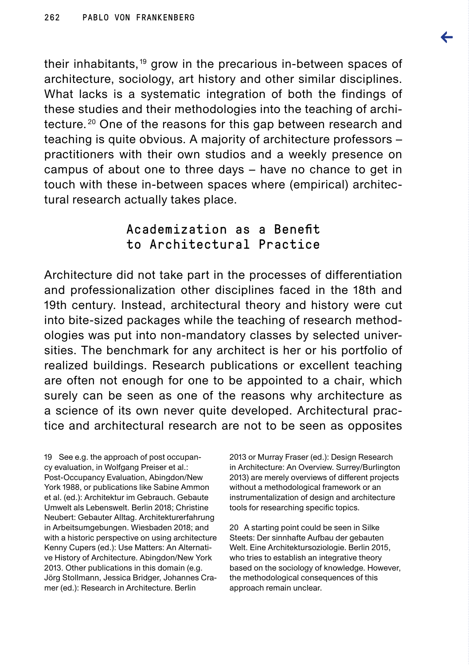their inhabitants, 19 grow in the precarious in-between spaces of architecture, sociology, art history and other similar disciplines. What lacks is a systematic integration of both the findings of these studies and their methodologies into the teaching of architecture. 20 One of the reasons for this gap between research and teaching is quite obvious. A majority of architecture professors – practitioners with their own studios and a weekly presence on campus of about one to three days – have no chance to get in touch with these in-between spaces where (empirical) architectural research actually takes place.

#### Academization as a Benefit to Architectural Practice

Architecture did not take part in the processes of differentiation and professionalization other disciplines faced in the 18th and 19th century. Instead, architectural theory and history were cut into bite-sized packages while the teaching of research methodologies was put into non-mandatory classes by selected universities. The benchmark for any architect is her or his portfolio of realized buildings. Research publications or excellent teaching are often not enough for one to be appointed to a chair, which surely can be seen as one of the reasons why architecture as a science of its own never quite developed. Architectural practice and architectural research are not to be seen as opposites

19 See e.g. the approach of post occupancy evaluation, in Wolfgang Preiser et al.: Post-Occupancy Evaluation, Abingdon/New York 1988, or publications like Sabine Ammon et al. (ed.): Architektur im Gebrauch. Gebaute Umwelt als Lebenswelt. Berlin 2018; Christine Neubert: Gebauter Alltag. Architekturerfahrung in Arbeitsumgebungen. Wiesbaden 2018; and with a historic perspective on using architecture Kenny Cupers (ed.): Use Matters: An Alternative History of Architecture. Abingdon/New York 2013. Other publications in this domain (e.g. Jörg Stollmann, Jessica Bridger, Johannes Cramer (ed.): Research in Architecture. Berlin

2013 or Murray Fraser (ed.): Design Research in Architecture: An Overview. Surrey/Burlington 2013) are merely overviews of different projects without a methodological framework or an instrumentalization of design and architecture tools for researching specific topics.

20 A starting point could be seen in Silke Steets: Der sinnhafte Aufbau der gebauten Welt. Eine Architektursoziologie. Berlin 2015, who tries to establish an integrative theory based on the sociology of knowledge. However, the methodological consequences of this approach remain unclear.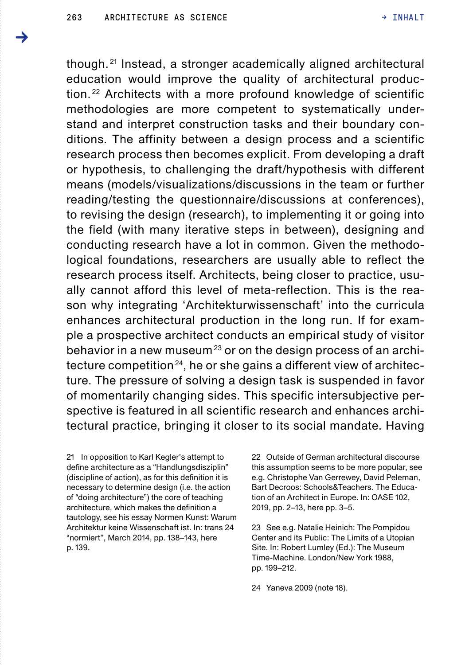though. 21 Instead, a stronger academically aligned architectural education would improve the quality of architectural production. 22 Architects with a more profound knowledge of scientific methodologies are more competent to systematically understand and interpret construction tasks and their boundary conditions. The affinity between a design process and a scientific research process then becomes explicit. From developing a draft or hypothesis, to challenging the draft/hypothesis with different means (models/visualizations/discussions in the team or further reading/testing the questionnaire/discussions at conferences), to revising the design (research), to implementing it or going into the field (with many iterative steps in between), designing and conducting research have a lot in common. Given the methodological foundations, researchers are usually able to reflect the research process itself. Architects, being closer to practice, usually cannot afford this level of meta-reflection. This is the reason why integrating 'Architekturwissenschaft' into the curricula enhances architectural production in the long run. If for example a prospective architect conducts an empirical study of visitor behavior in a new museum<sup>23</sup> or on the design process of an architecture competition<sup>24</sup>, he or she gains a different view of architecture. The pressure of solving a design task is suspended in favor of momentarily changing sides. This specific intersubjective perspective is featured in all scientific research and enhances architectural practice, bringing it closer to its social mandate. Having

21 In opposition to Karl Kegler's attempt to define architecture as a "Handlungsdisziplin" (discipline of action), as for this definition it is necessary to determine design (i.e. the action of "doing architecture") the core of teaching architecture, which makes the definition a tautology, see his essay Normen Kunst: Warum Architektur keine Wissenschaft ist. In: trans 24 "normiert", March 2014, pp. 138–143, here p. 139.

22 Outside of German architectural discourse this assumption seems to be more popular, see e.g. Christophe Van Gerrewey, David Peleman, Bart Decroos: Schools&Teachers. The Education of an Architect in Europe. In: OASE 102, 2019, pp. 2–13, here pp. 3–5.

23 See e.g. Natalie Heinich: The Pompidou Center and its Public: The Limits of a Utopian Site. In: Robert Lumley (Ed.): The Museum Time-Machine. London/New York 1988, pp. 199–212.

24 Yaneva 2009 (note 18).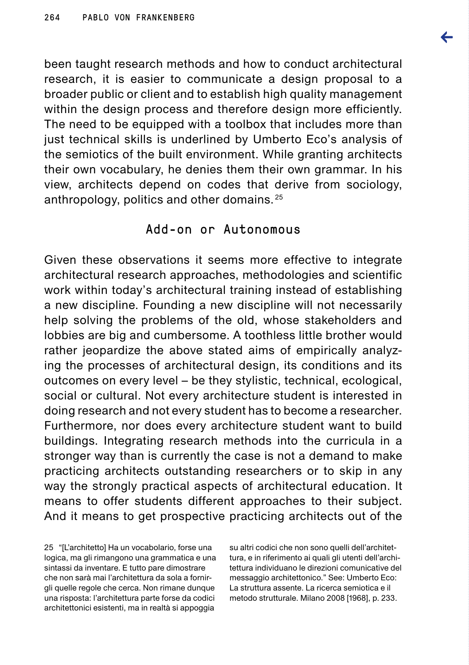been taught research methods and how to conduct architectural research, it is easier to communicate a design proposal to a broader public or client and to establish high quality management within the design process and therefore design more efficiently. The need to be equipped with a toolbox that includes more than just technical skills is underlined by Umberto Eco's analysis of the semiotics of the built environment. While granting architects their own vocabulary, he denies them their own grammar. In his view, architects depend on codes that derive from sociology, anthropology, politics and other domains. <sup>25</sup>

#### Add-on or Autonomous

Given these observations it seems more effective to integrate architectural research approaches, methodologies and scientific work within today's architectural training instead of establishing a new discipline. Founding a new discipline will not necessarily help solving the problems of the old, whose stakeholders and lobbies are big and cumbersome. A toothless little brother would rather jeopardize the above stated aims of empirically analyzing the processes of architectural design, its conditions and its outcomes on every level – be they stylistic, technical, ecological, social or cultural. Not every architecture student is interested in doing research and not every student has to become a researcher. Furthermore, nor does every architecture student want to build buildings. Integrating research methods into the curricula in a stronger way than is currently the case is not a demand to make practicing architects outstanding researchers or to skip in any way the strongly practical aspects of architectural education. It means to offer students different approaches to their subject. And it means to get prospective practicing architects out of the

25 "[L'architetto] Ha un vocabolario, forse una logica, ma gli rimangono una grammatica e una sintassi da inventare. E tutto pare dimostrare che non sarà mai l'architettura da sola a fornirgli quelle regole che cerca. Non rimane dunque una risposta: l'architettura parte forse da codici architettonici esistenti, ma in realtà si appoggia

su altri codici che non sono quelli dell'architettura, e in riferimento ai quali gli utenti dell'architettura individuano le direzioni comunicative del messaggio architettonico." See: Umberto Eco: La struttura assente. La ricerca semiotica e il metodo strutturale. Milano 2008 [1968], p. 233.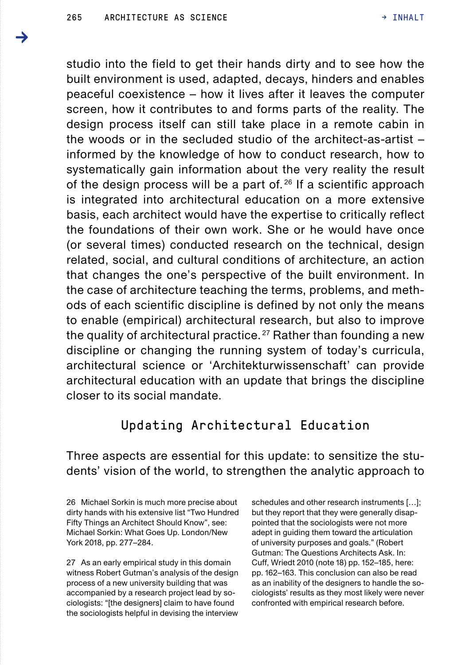studio into the field to get their hands dirty and to see how the built environment is used, adapted, decays, hinders and enables peaceful coexistence – how it lives after it leaves the computer screen, how it contributes to and forms parts of the reality. The design process itself can still take place in a remote cabin in the woods or in the secluded studio of the architect-as-artist – informed by the knowledge of how to conduct research, how to systematically gain information about the very reality the result of the design process will be a part of. 26 If a scientific approach is integrated into architectural education on a more extensive basis, each architect would have the expertise to critically reflect the foundations of their own work. She or he would have once (or several times) conducted research on the technical, design related, social, and cultural conditions of architecture, an action that changes the one's perspective of the built environment. In the case of architecture teaching the terms, problems, and methods of each scientific discipline is defined by not only the means to enable (empirical) architectural research, but also to improve the quality of architectural practice.<sup>27</sup> Rather than founding a new discipline or changing the running system of today's curricula, architectural science or 'Architekturwissenschaft' can provide architectural education with an update that brings the discipline closer to its social mandate.

#### Updating Architectural Education

Three aspects are essential for this update: to sensitize the students' vision of the world, to strengthen the analytic approach to

26 Michael Sorkin is much more precise about dirty hands with his extensive list "Two Hundred Fifty Things an Architect Should Know", see: Michael Sorkin: What Goes Up. London/New York 2018, pp. 277–284.

27 As an early empirical study in this domain witness Robert Gutman's analysis of the design process of a new university building that was accompanied by a research project lead by sociologists: "[the designers] claim to have found the sociologists helpful in devising the interview

schedules and other research instruments […]; but they report that they were generally disappointed that the sociologists were not more adept in guiding them toward the articulation of university purposes and goals." (Robert Gutman: The Questions Architects Ask. In: Cuff, Wriedt 2010 (note 18) pp. 152–185, here: pp. 162–163. This conclusion can also be read as an inability of the designers to handle the sociologists' results as they most likely were never confronted with empirical research before.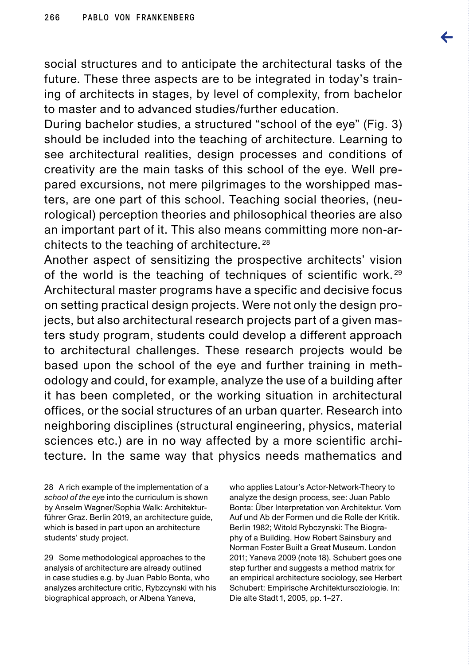social structures and to anticipate the architectural tasks of the future. These three aspects are to be integrated in today's training of architects in stages, by level of complexity, from bachelor to master and to advanced studies/further education.

During bachelor studies, a structured "school of the eye" (Fig. 3) should be included into the teaching of architecture. Learning to see architectural realities, design processes and conditions of creativity are the main tasks of this school of the eye. Well prepared excursions, not mere pilgrimages to the worshipped masters, are one part of this school. Teaching social theories, (neurological) perception theories and philosophical theories are also an important part of it. This also means committing more non-architects to the teaching of architecture. <sup>28</sup>

Another aspect of sensitizing the prospective architects' vision of the world is the teaching of techniques of scientific work.<sup>29</sup> Architectural master programs have a specific and decisive focus on setting practical design projects. Were not only the design projects, but also architectural research projects part of a given masters study program, students could develop a different approach to architectural challenges. These research projects would be based upon the school of the eye and further training in methodology and could, for example, analyze the use of a building after it has been completed, or the working situation in architectural offices, or the social structures of an urban quarter. Research into neighboring disciplines (structural engineering, physics, material sciences etc.) are in no way affected by a more scientific architecture. In the same way that physics needs mathematics and

28 A rich example of the implementation of a *school of the eye* into the curriculum is shown by Anselm Wagner/Sophia Walk: Architekturführer Graz. Berlin 2019, an architecture guide, which is based in part upon an architecture students' study project.

29 Some methodological approaches to the analysis of architecture are already outlined in case studies e.g. by Juan Pablo Bonta, who analyzes architecture critic, Rybzcynski with his biographical approach, or Albena Yaneva,

who applies Latour's Actor-Network-Theory to analyze the design process, see: Juan Pablo Bonta: Über Interpretation von Architektur. Vom Auf und Ab der Formen und die Rolle der Kritik. Berlin 1982; Witold Rybczynski: The Biography of a Building. How Robert Sainsbury and Norman Foster Built a Great Museum. London 2011; Yaneva 2009 (note 18). Schubert goes one step further and suggests a method matrix for an empirical architecture sociology, see Herbert Schubert: Empirische Architektursoziologie. In: Die alte Stadt 1, 2005, pp. 1–27.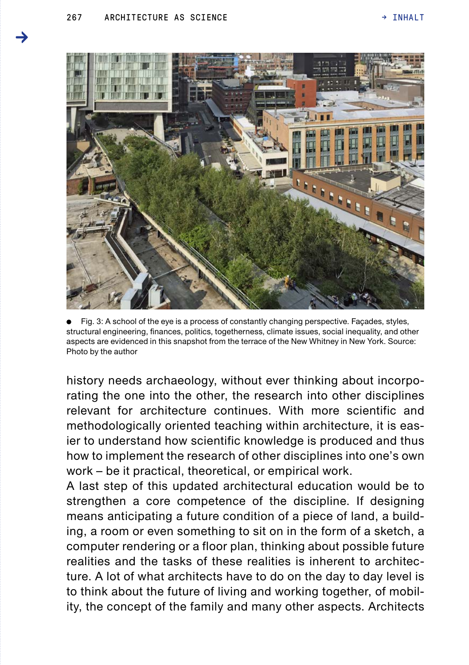

Fig. 3: A school of the eye is a process of constantly changing perspective. Façades, styles, structural engineering, finances, politics, togetherness, climate issues, social inequality, and other aspects are evidenced in this snapshot from the terrace of the New Whitney in New York. Source: Photo by the author

history needs archaeology, without ever thinking about incorporating the one into the other, the research into other disciplines relevant for architecture continues. With more scientific and methodologically oriented teaching within architecture, it is easier to understand how scientific knowledge is produced and thus how to implement the research of other disciplines into one's own work – be it practical, theoretical, or empirical work.

A last step of this updated architectural education would be to strengthen a core competence of the discipline. If designing means anticipating a future condition of a piece of land, a building, a room or even something to sit on in the form of a sketch, a computer rendering or a floor plan, thinking about possible future realities and the tasks of these realities is inherent to architecture. A lot of what architects have to do on the day to day level is to think about the future of living and working together, of mobility, the concept of the family and many other aspects. Architects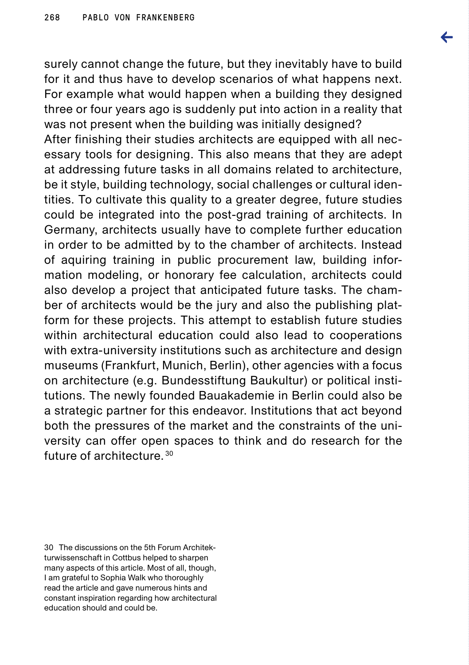surely cannot change the future, but they inevitably have to build for it and thus have to develop scenarios of what happens next. For example what would happen when a building they designed three or four years ago is suddenly put into action in a reality that was not present when the building was initially designed?

After finishing their studies architects are equipped with all necessary tools for designing. This also means that they are adept at addressing future tasks in all domains related to architecture, be it style, building technology, social challenges or cultural identities. To cultivate this quality to a greater degree, future studies could be integrated into the post-grad training of architects. In Germany, architects usually have to complete further education in order to be admitted by to the chamber of architects. Instead of aquiring training in public procurement law, building information modeling, or honorary fee calculation, architects could also develop a project that anticipated future tasks. The chamber of architects would be the jury and also the publishing platform for these projects. This attempt to establish future studies within architectural education could also lead to cooperations with extra-university institutions such as architecture and design museums (Frankfurt, Munich, Berlin), other agencies with a focus on architecture (e.g. Bundesstiftung Baukultur) or political institutions. The newly founded Bauakademie in Berlin could also be a strategic partner for this endeavor. Institutions that act beyond both the pressures of the market and the constraints of the university can offer open spaces to think and do research for the future of architecture. 30

30 The discussions on the 5th Forum Architekturwissenschaft in Cottbus helped to sharpen many aspects of this article. Most of all, though, I am grateful to Sophia Walk who thoroughly read the article and gave numerous hints and constant inspiration regarding how architectural education should and could be.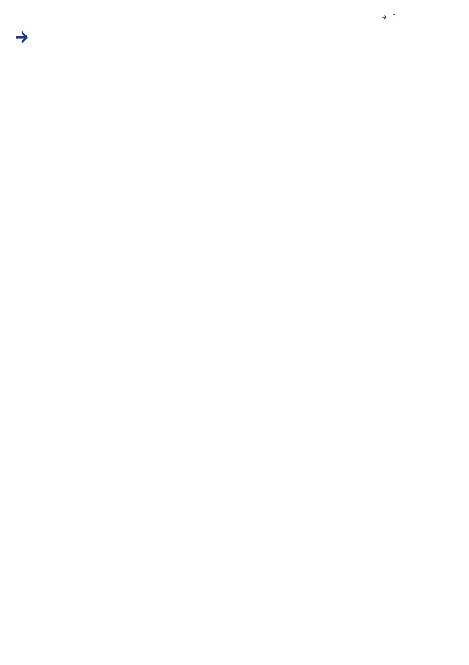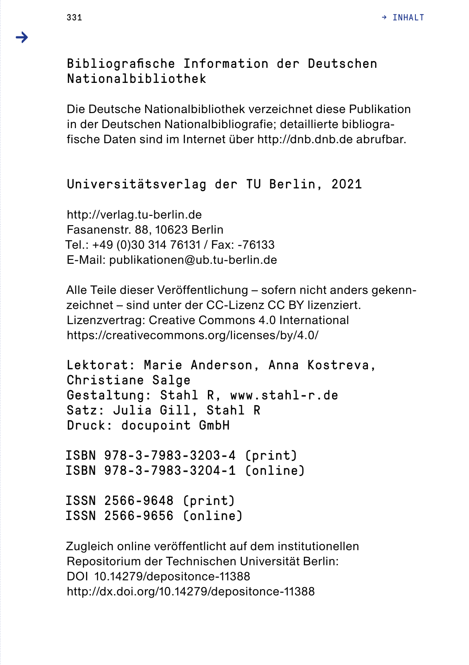#### Bibliografische Information der Deutschen Nationalbibliothek

Die Deutsche Nationalbibliothek verzeichnet diese Publikation in der Deutschen Nationalbibliografie; detaillierte bibliografische Daten sind im Internet über<http://dnb.dnb.de> abrufbar.

### Universitätsverlag der TU Berlin, 2021

http://verlag.tu-berlin.de Fasanenstr. 88, 10623 Berlin Tel.: +49 (0)30 314 76131 / Fax: -76133 E-Mail: publikationen@ub.tu-berlin.de

Alle Teile dieser Veröffentlichung – sofern nicht anders gekennzeichnet – sind unter der CC-Lizenz CC BY lizenziert. Lizenzvertrag: Creative Commons 4.0 International https://creativecommons.org/licenses/by/4.0/

```
Lektorat: Marie Anderson, Anna Kostreva, 
Christiane Salge
Gestaltung: Stahl R, www.stahl-r.de
Satz: Julia Gill, Stahl R
Druck: docupoint GmbH
```

```
ISBN 978-3-7983-3203-4 (print)
ISBN 978-3-7983-3204-1 (online)
```

```
ISSN 2566-9648 (print)
ISSN 2566-9656 (online)
```
Zugleich online veröffentlicht auf dem institutionellen Repositorium der Technischen Universität Berlin: DOI 10.14279/depositonce-11388 http://dx.doi.org/10.14279/depositonce-11388